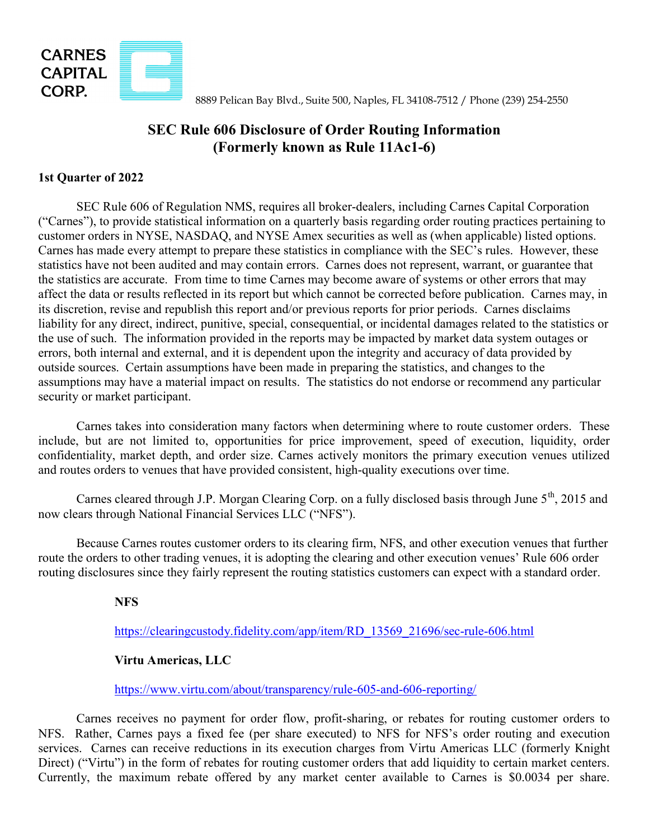

8889 Pelican Bay Blvd., Suite 500, Naples, FL 34108-7512 / Phone (239) 254-2550

## SEC Rule 606 Disclosure of Order Routing Information (Formerly known as Rule 11Ac1-6)

## 1st Quarter of 2022

 SEC Rule 606 of Regulation NMS, requires all broker-dealers, including Carnes Capital Corporation ("Carnes"), to provide statistical information on a quarterly basis regarding order routing practices pertaining to customer orders in NYSE, NASDAQ, and NYSE Amex securities as well as (when applicable) listed options. Carnes has made every attempt to prepare these statistics in compliance with the SEC's rules. However, these statistics have not been audited and may contain errors. Carnes does not represent, warrant, or guarantee that the statistics are accurate. From time to time Carnes may become aware of systems or other errors that may affect the data or results reflected in its report but which cannot be corrected before publication. Carnes may, in its discretion, revise and republish this report and/or previous reports for prior periods. Carnes disclaims liability for any direct, indirect, punitive, special, consequential, or incidental damages related to the statistics or the use of such. The information provided in the reports may be impacted by market data system outages or errors, both internal and external, and it is dependent upon the integrity and accuracy of data provided by outside sources. Certain assumptions have been made in preparing the statistics, and changes to the assumptions may have a material impact on results. The statistics do not endorse or recommend any particular security or market participant.

Carnes takes into consideration many factors when determining where to route customer orders. These include, but are not limited to, opportunities for price improvement, speed of execution, liquidity, order confidentiality, market depth, and order size. Carnes actively monitors the primary execution venues utilized and routes orders to venues that have provided consistent, high-quality executions over time.

Carnes cleared through J.P. Morgan Clearing Corp. on a fully disclosed basis through June 5<sup>th</sup>, 2015 and now clears through National Financial Services LLC ("NFS").

Because Carnes routes customer orders to its clearing firm, NFS, and other execution venues that further route the orders to other trading venues, it is adopting the clearing and other execution venues' Rule 606 order routing disclosures since they fairly represent the routing statistics customers can expect with a standard order.

## NFS

https://clearingcustody.fidelity.com/app/item/RD\_13569\_21696/sec-rule-606.html

## Virtu Americas, LLC

https://www.virtu.com/about/transparency/rule-605-and-606-reporting/

 Carnes receives no payment for order flow, profit-sharing, or rebates for routing customer orders to NFS. Rather, Carnes pays a fixed fee (per share executed) to NFS for NFS's order routing and execution services. Carnes can receive reductions in its execution charges from Virtu Americas LLC (formerly Knight Direct) ("Virtu") in the form of rebates for routing customer orders that add liquidity to certain market centers. Currently, the maximum rebate offered by any market center available to Carnes is \$0.0034 per share.